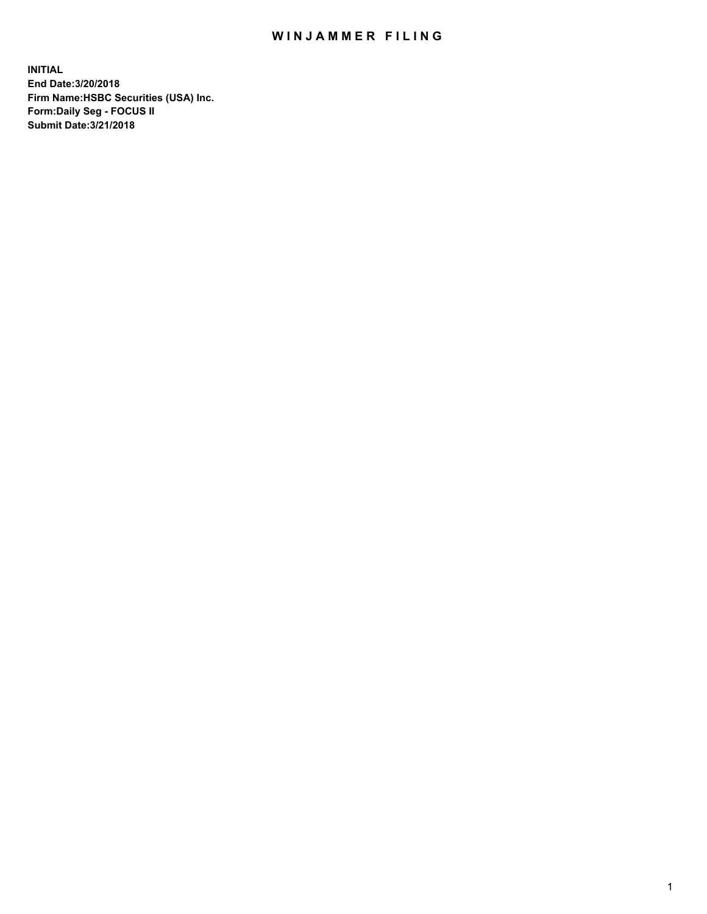## WIN JAMMER FILING

**INITIAL End Date:3/20/2018 Firm Name:HSBC Securities (USA) Inc. Form:Daily Seg - FOCUS II Submit Date:3/21/2018**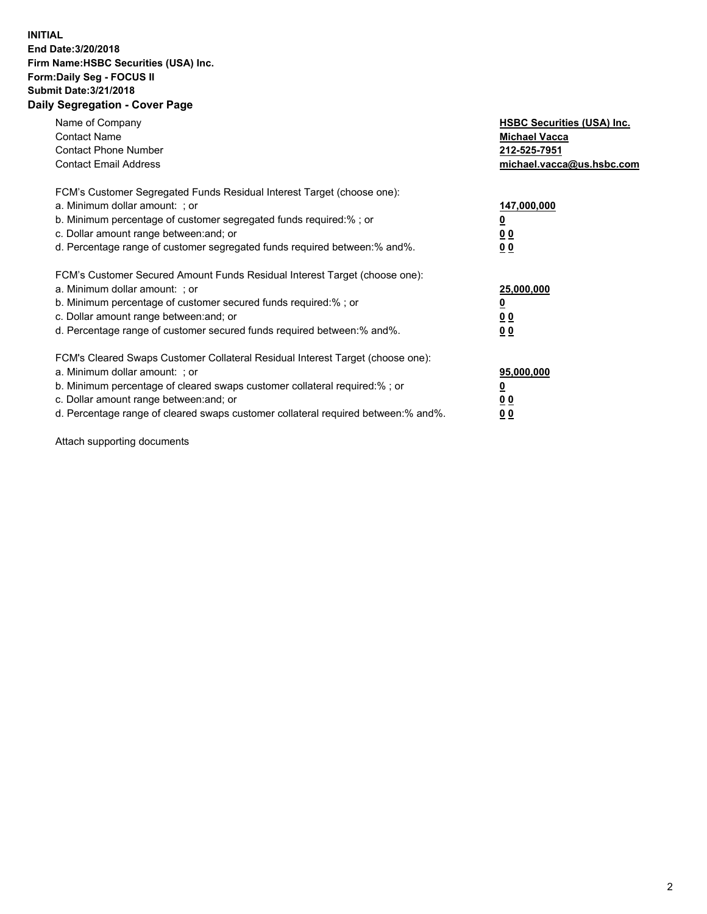## **INITIAL End Date:3/20/2018 Firm Name:HSBC Securities (USA) Inc. Form:Daily Seg - FOCUS II Submit Date:3/21/2018 Daily Segregation - Cover Page**

| Name of Company<br><b>Contact Name</b><br><b>Contact Phone Number</b><br><b>Contact Email Address</b>                                                                                                                                                                                                                         | <b>HSBC Securities (USA) Inc.</b><br><b>Michael Vacca</b><br>212-525-7951<br>michael.vacca@us.hsbc.com |
|-------------------------------------------------------------------------------------------------------------------------------------------------------------------------------------------------------------------------------------------------------------------------------------------------------------------------------|--------------------------------------------------------------------------------------------------------|
| FCM's Customer Segregated Funds Residual Interest Target (choose one):<br>a. Minimum dollar amount: ; or<br>b. Minimum percentage of customer segregated funds required:%; or<br>c. Dollar amount range between: and; or<br>d. Percentage range of customer segregated funds required between: % and %.                       | 147,000,000<br><u>0</u><br><u>00</u><br><u>00</u>                                                      |
| FCM's Customer Secured Amount Funds Residual Interest Target (choose one):<br>a. Minimum dollar amount: ; or<br>b. Minimum percentage of customer secured funds required:%; or<br>c. Dollar amount range between: and; or<br>d. Percentage range of customer secured funds required between: % and %.                         | 25,000,000<br><u>0</u><br><u>00</u><br>00                                                              |
| FCM's Cleared Swaps Customer Collateral Residual Interest Target (choose one):<br>a. Minimum dollar amount: ; or<br>b. Minimum percentage of cleared swaps customer collateral required:%; or<br>c. Dollar amount range between: and; or<br>d. Percentage range of cleared swaps customer collateral required between:% and%. | 95,000,000<br><u>0</u><br><u>00</u><br><u>00</u>                                                       |

Attach supporting documents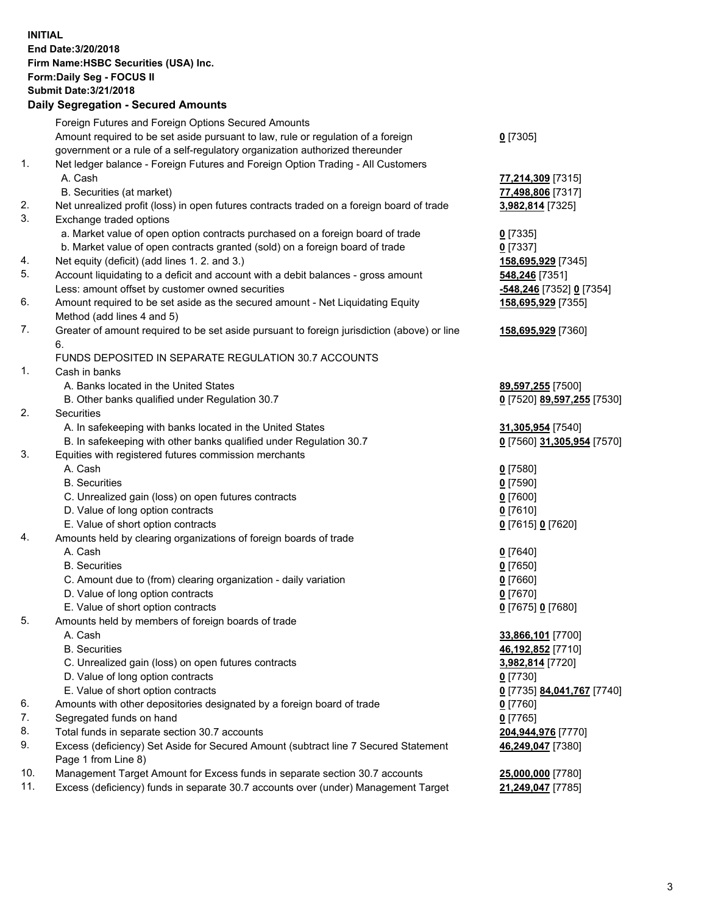**INITIAL End Date:3/20/2018 Firm Name:HSBC Securities (USA) Inc. Form:Daily Seg - FOCUS II Submit Date:3/21/2018 Daily Segregation - Secured Amounts** Foreign Futures and Foreign Options Secured Amounts Amount required to be set aside pursuant to law, rule or regulation of a foreign government or a rule of a self-regulatory organization authorized thereunder 1. Net ledger balance - Foreign Futures and Foreign Option Trading - All Customers A. Cash **77,214,309** [7315] B. Securities (at market) **77,498,806** [7317] 2. Net unrealized profit (loss) in open futures contracts traded on a foreign board of trade **3,982,814** [7325] 3. Exchange traded options a. Market value of open option contracts purchased on a foreign board of trade **0** [7335] b. Market value of open contracts granted (sold) on a foreign board of trade **0** [7337] 4. Net equity (deficit) (add lines 1. 2. and 3.) **158,695,929** [7345] 5. Account liquidating to a deficit and account with a debit balances - gross amount **548,246** [7351] Less: amount offset by customer owned securities **-548,246** [7352] **0** [7354] 6. Amount required to be set aside as the secured amount - Net Liquidating Equity Method (add lines 4 and 5) 7. Greater of amount required to be set aside pursuant to foreign jurisdiction (above) or line 6. FUNDS DEPOSITED IN SEPARATE REGULATION 30.7 ACCOUNTS 1. Cash in banks A. Banks located in the United States **89,597,255** [7500] B. Other banks qualified under Regulation 30.7 **0** [7520] **89,597,255** [7530] 2. Securities A. In safekeeping with banks located in the United States **31,305,954** [7540]

- B. In safekeeping with other banks qualified under Regulation 30.7 **0** [7560] **31,305,954** [7570]
- 3. Equities with registered futures commission merchants
	- A. Cash **0** [7580]
	- B. Securities **0** [7590]
	- C. Unrealized gain (loss) on open futures contracts **0** [7600]
	- D. Value of long option contracts **0** [7610]
	- E. Value of short option contracts **0** [7615] **0** [7620]
- 4. Amounts held by clearing organizations of foreign boards of trade
	-
	-
	- C. Amount due to (from) clearing organization daily variation **0** [7660]
	- D. Value of long option contracts **0** [7670]
	- E. Value of short option contracts **0** [7675] **0** [7680]
- 5. Amounts held by members of foreign boards of trade
	-
	-
	- C. Unrealized gain (loss) on open futures contracts **3,982,814** [7720]
	- D. Value of long option contracts **0** [7730]
	- E. Value of short option contracts **0** [7735] **84,041,767** [7740]
- 6. Amounts with other depositories designated by a foreign board of trade **0** [7760]
- 7. Segregated funds on hand **0** [7765]
- 8. Total funds in separate section 30.7 accounts **204,944,976** [7770]
- 9. Excess (deficiency) Set Aside for Secured Amount (subtract line 7 Secured Statement Page 1 from Line 8)
- 10. Management Target Amount for Excess funds in separate section 30.7 accounts **25,000,000** [7780]
- 11. Excess (deficiency) funds in separate 30.7 accounts over (under) Management Target **21,249,047** [7785]

**158,695,929** [7355]

**158,695,929** [7360]

 A. Cash **0** [7640] B. Securities **0** [7650] A. Cash **33,866,101** [7700] B. Securities **46,192,852** [7710]

**46,249,047** [7380]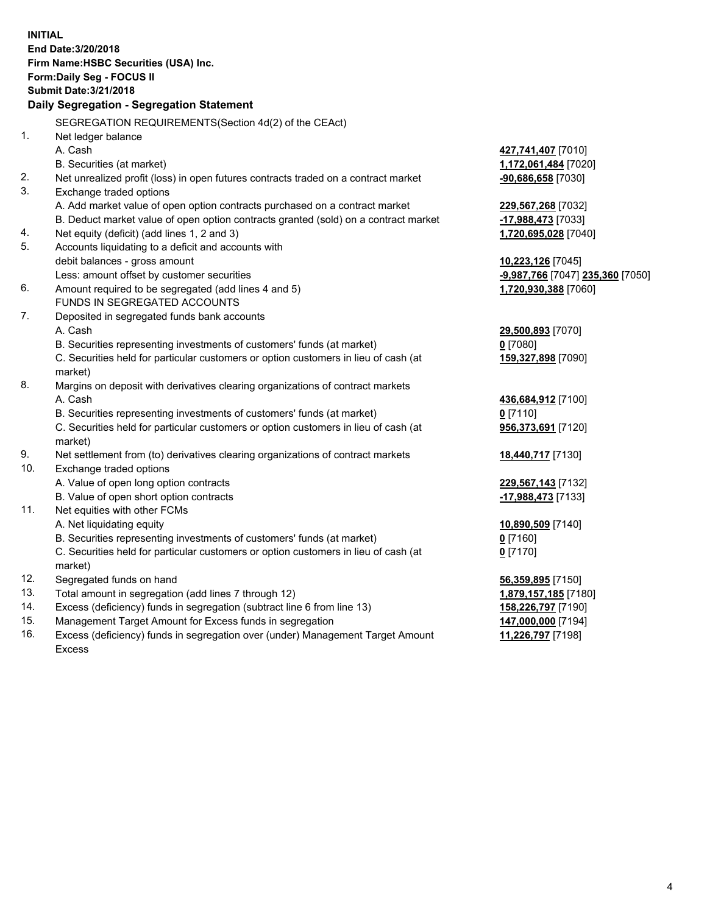**INITIAL End Date:3/20/2018 Firm Name:HSBC Securities (USA) Inc. Form:Daily Seg - FOCUS II Submit Date:3/21/2018 Daily Segregation - Segregation Statement** SEGREGATION REQUIREMENTS(Section 4d(2) of the CEAct) 1. Net ledger balance A. Cash **427,741,407** [7010] B. Securities (at market) **1,172,061,484** [7020] 2. Net unrealized profit (loss) in open futures contracts traded on a contract market **-90,686,658** [7030] 3. Exchange traded options A. Add market value of open option contracts purchased on a contract market **229,567,268** [7032] B. Deduct market value of open option contracts granted (sold) on a contract market **-17,988,473** [7033] 4. Net equity (deficit) (add lines 1, 2 and 3) **1,720,695,028** [7040] 5. Accounts liquidating to a deficit and accounts with debit balances - gross amount **10,223,126** [7045] Less: amount offset by customer securities **-9,987,766** [7047] **235,360** [7050] 6. Amount required to be segregated (add lines 4 and 5) **1,720,930,388** [7060] FUNDS IN SEGREGATED ACCOUNTS 7. Deposited in segregated funds bank accounts A. Cash **29,500,893** [7070] B. Securities representing investments of customers' funds (at market) **0** [7080] C. Securities held for particular customers or option customers in lieu of cash (at market) **159,327,898** [7090] 8. Margins on deposit with derivatives clearing organizations of contract markets A. Cash **436,684,912** [7100] B. Securities representing investments of customers' funds (at market) **0** [7110] C. Securities held for particular customers or option customers in lieu of cash (at market) **956,373,691** [7120] 9. Net settlement from (to) derivatives clearing organizations of contract markets **18,440,717** [7130] 10. Exchange traded options A. Value of open long option contracts **229,567,143** [7132] B. Value of open short option contracts **-17,988,473** [7133] 11. Net equities with other FCMs A. Net liquidating equity **10,890,509** [7140] B. Securities representing investments of customers' funds (at market) **0** [7160] C. Securities held for particular customers or option customers in lieu of cash (at market) **0** [7170] 12. Segregated funds on hand **56,359,895** [7150] 13. Total amount in segregation (add lines 7 through 12) **1,879,157,185** [7180] 14. Excess (deficiency) funds in segregation (subtract line 6 from line 13) **158,226,797** [7190] 15. Management Target Amount for Excess funds in segregation **147,000,000** [7194]

16. Excess (deficiency) funds in segregation over (under) Management Target Amount Excess

**11,226,797** [7198]